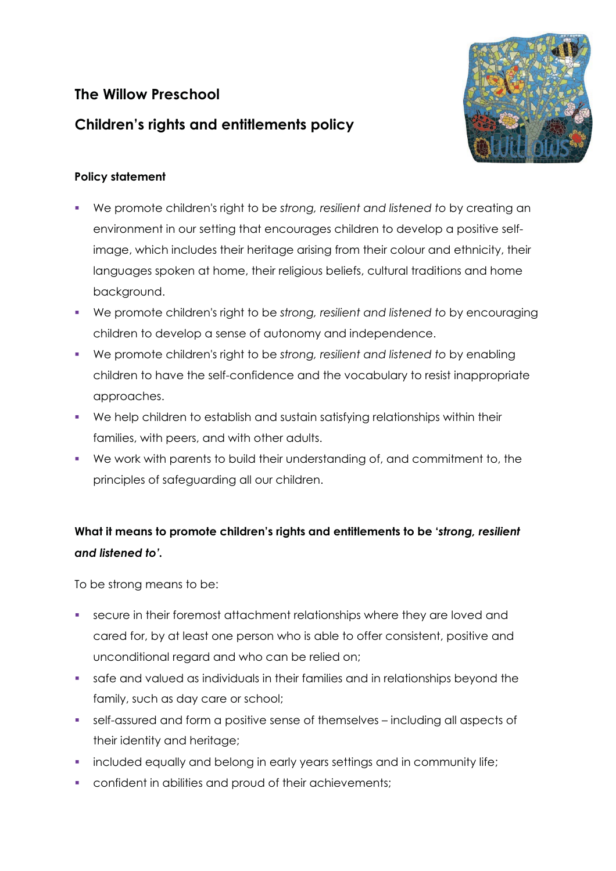## **The Willow Preschool**



## **Children's rights and entitlements policy**

## **Policy statement**

- We promote children's right to be *strong, resilient and listened to* by creating an environment in our setting that encourages children to develop a positive selfimage, which includes their heritage arising from their colour and ethnicity, their languages spoken at home, their religious beliefs, cultural traditions and home background.
- We promote children's right to be *strong, resilient and listened to* by encouraging children to develop a sense of autonomy and independence.
- We promote children's right to be *strong, resilient and listened to* by enabling children to have the self-confidence and the vocabulary to resist inappropriate approaches.
- We help children to establish and sustain satisfying relationships within their families, with peers, and with other adults.
- We work with parents to build their understanding of, and commitment to, the principles of safeguarding all our children.

## **What it means to promote children's rights and entitlements to be '***strong, resilient and listened to'.*

To be strong means to be:

- **-** secure in their foremost attachment relationships where they are loved and cared for, by at least one person who is able to offer consistent, positive and unconditional regard and who can be relied on;
- safe and valued as individuals in their families and in relationships beyond the family, such as day care or school;
- self-assured and form a positive sense of themselves including all aspects of their identity and heritage;
- included equally and belong in early years settings and in community life;
- **•** confident in abilities and proud of their achievements;